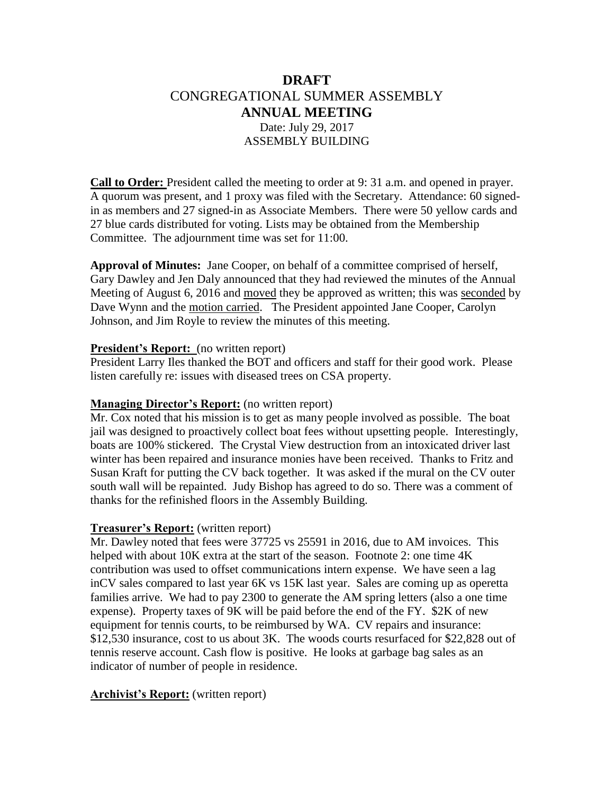# **DRAFT** CONGREGATIONAL SUMMER ASSEMBLY **ANNUAL MEETING** Date: July 29, 2017 ASSEMBLY BUILDING

**Call to Order:** President called the meeting to order at 9: 31 a.m. and opened in prayer. A quorum was present, and 1 proxy was filed with the Secretary. Attendance: 60 signedin as members and 27 signed-in as Associate Members. There were 50 yellow cards and 27 blue cards distributed for voting. Lists may be obtained from the Membership Committee. The adjournment time was set for 11:00.

**Approval of Minutes:** Jane Cooper, on behalf of a committee comprised of herself, Gary Dawley and Jen Daly announced that they had reviewed the minutes of the Annual Meeting of August 6, 2016 and moved they be approved as written; this was seconded by Dave Wynn and the motion carried. The President appointed Jane Cooper, Carolyn Johnson, and Jim Royle to review the minutes of this meeting.

#### **President's Report:** (no written report)

President Larry Iles thanked the BOT and officers and staff for their good work. Please listen carefully re: issues with diseased trees on CSA property.

#### **Managing Director's Report:** (no written report)

Mr. Cox noted that his mission is to get as many people involved as possible. The boat jail was designed to proactively collect boat fees without upsetting people. Interestingly, boats are 100% stickered. The Crystal View destruction from an intoxicated driver last winter has been repaired and insurance monies have been received. Thanks to Fritz and Susan Kraft for putting the CV back together. It was asked if the mural on the CV outer south wall will be repainted. Judy Bishop has agreed to do so. There was a comment of thanks for the refinished floors in the Assembly Building.

#### **Treasurer's Report:** (written report)

Mr. Dawley noted that fees were 37725 vs 25591 in 2016, due to AM invoices. This helped with about 10K extra at the start of the season. Footnote 2: one time 4K contribution was used to offset communications intern expense. We have seen a lag inCV sales compared to last year 6K vs 15K last year. Sales are coming up as operetta families arrive. We had to pay 2300 to generate the AM spring letters (also a one time expense). Property taxes of 9K will be paid before the end of the FY. \$2K of new equipment for tennis courts, to be reimbursed by WA. CV repairs and insurance: \$12,530 insurance, cost to us about 3K. The woods courts resurfaced for \$22,828 out of tennis reserve account. Cash flow is positive. He looks at garbage bag sales as an indicator of number of people in residence.

# **Archivist's Report:** (written report)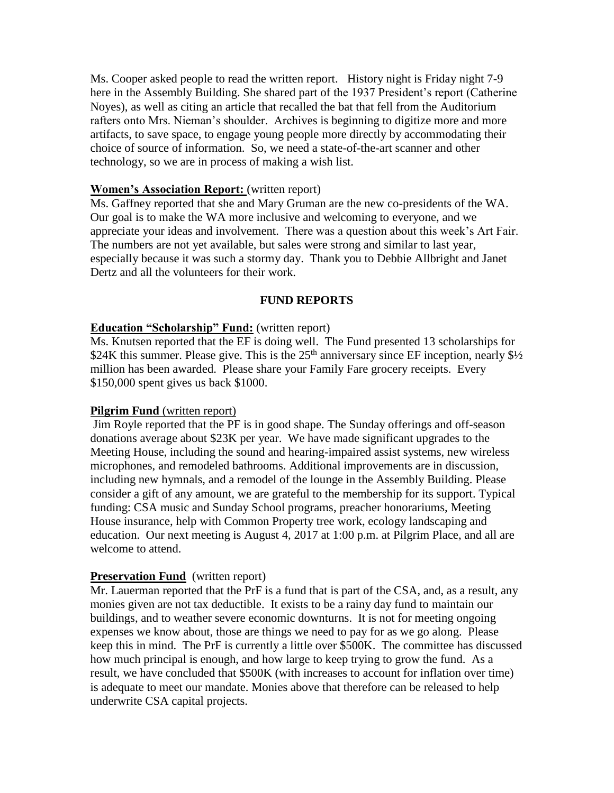Ms. Cooper asked people to read the written report. History night is Friday night 7-9 here in the Assembly Building. She shared part of the 1937 President's report (Catherine Noyes), as well as citing an article that recalled the bat that fell from the Auditorium rafters onto Mrs. Nieman's shoulder. Archives is beginning to digitize more and more artifacts, to save space, to engage young people more directly by accommodating their choice of source of information. So, we need a state-of-the-art scanner and other technology, so we are in process of making a wish list.

### **Women's Association Report:** (written report)

Ms. Gaffney reported that she and Mary Gruman are the new co-presidents of the WA. Our goal is to make the WA more inclusive and welcoming to everyone, and we appreciate your ideas and involvement. There was a question about this week's Art Fair. The numbers are not yet available, but sales were strong and similar to last year, especially because it was such a stormy day. Thank you to Debbie Allbright and Janet Dertz and all the volunteers for their work.

# **FUND REPORTS**

# **Education "Scholarship" Fund:** (written report)

Ms. Knutsen reported that the EF is doing well. The Fund presented 13 scholarships for \$24K this summer. Please give. This is the  $25<sup>th</sup>$  anniversary since EF inception, nearly \$1/2 million has been awarded. Please share your Family Fare grocery receipts. Every \$150,000 spent gives us back \$1000.

#### **Pilgrim Fund** (written report)

Jim Royle reported that the PF is in good shape. The Sunday offerings and off-season donations average about \$23K per year. We have made significant upgrades to the Meeting House, including the sound and hearing-impaired assist systems, new wireless microphones, and remodeled bathrooms. Additional improvements are in discussion, including new hymnals, and a remodel of the lounge in the Assembly Building. Please consider a gift of any amount, we are grateful to the membership for its support. Typical funding: CSA music and Sunday School programs, preacher honorariums, Meeting House insurance, help with Common Property tree work, ecology landscaping and education. Our next meeting is August 4, 2017 at 1:00 p.m. at Pilgrim Place, and all are welcome to attend.

#### **Preservation Fund** (written report)

Mr. Lauerman reported that the PrF is a fund that is part of the CSA, and, as a result, any monies given are not tax deductible. It exists to be a rainy day fund to maintain our buildings, and to weather severe economic downturns. It is not for meeting ongoing expenses we know about, those are things we need to pay for as we go along. Please keep this in mind. The PrF is currently a little over \$500K. The committee has discussed how much principal is enough, and how large to keep trying to grow the fund. As a result, we have concluded that \$500K (with increases to account for inflation over time) is adequate to meet our mandate. Monies above that therefore can be released to help underwrite CSA capital projects.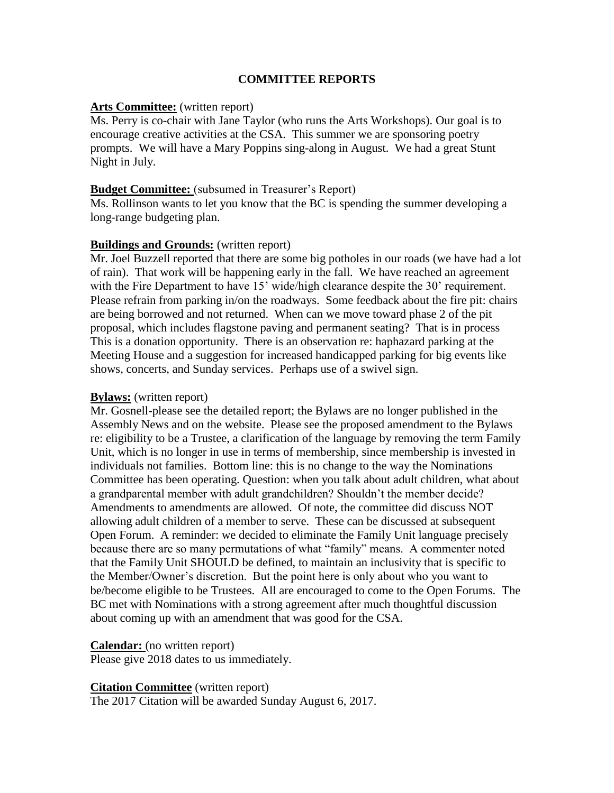# **COMMITTEE REPORTS**

#### **Arts Committee:** (written report)

Ms. Perry is co-chair with Jane Taylor (who runs the Arts Workshops). Our goal is to encourage creative activities at the CSA. This summer we are sponsoring poetry prompts. We will have a Mary Poppins sing-along in August. We had a great Stunt Night in July.

#### **Budget Committee:** (subsumed in Treasurer's Report)

Ms. Rollinson wants to let you know that the BC is spending the summer developing a long-range budgeting plan.

#### **Buildings and Grounds:** (written report)

Mr. Joel Buzzell reported that there are some big potholes in our roads (we have had a lot of rain). That work will be happening early in the fall. We have reached an agreement with the Fire Department to have 15' wide/high clearance despite the 30' requirement. Please refrain from parking in/on the roadways. Some feedback about the fire pit: chairs are being borrowed and not returned. When can we move toward phase 2 of the pit proposal, which includes flagstone paving and permanent seating? That is in process This is a donation opportunity. There is an observation re: haphazard parking at the Meeting House and a suggestion for increased handicapped parking for big events like shows, concerts, and Sunday services. Perhaps use of a swivel sign.

#### **Bylaws:** (written report)

Mr. Gosnell-please see the detailed report; the Bylaws are no longer published in the Assembly News and on the website. Please see the proposed amendment to the Bylaws re: eligibility to be a Trustee, a clarification of the language by removing the term Family Unit, which is no longer in use in terms of membership, since membership is invested in individuals not families. Bottom line: this is no change to the way the Nominations Committee has been operating. Question: when you talk about adult children, what about a grandparental member with adult grandchildren? Shouldn't the member decide? Amendments to amendments are allowed. Of note, the committee did discuss NOT allowing adult children of a member to serve. These can be discussed at subsequent Open Forum. A reminder: we decided to eliminate the Family Unit language precisely because there are so many permutations of what "family" means. A commenter noted that the Family Unit SHOULD be defined, to maintain an inclusivity that is specific to the Member/Owner's discretion. But the point here is only about who you want to be/become eligible to be Trustees. All are encouraged to come to the Open Forums. The BC met with Nominations with a strong agreement after much thoughtful discussion about coming up with an amendment that was good for the CSA.

#### **Calendar:** (no written report)

Please give 2018 dates to us immediately.

# **Citation Committee** (written report)

The 2017 Citation will be awarded Sunday August 6, 2017.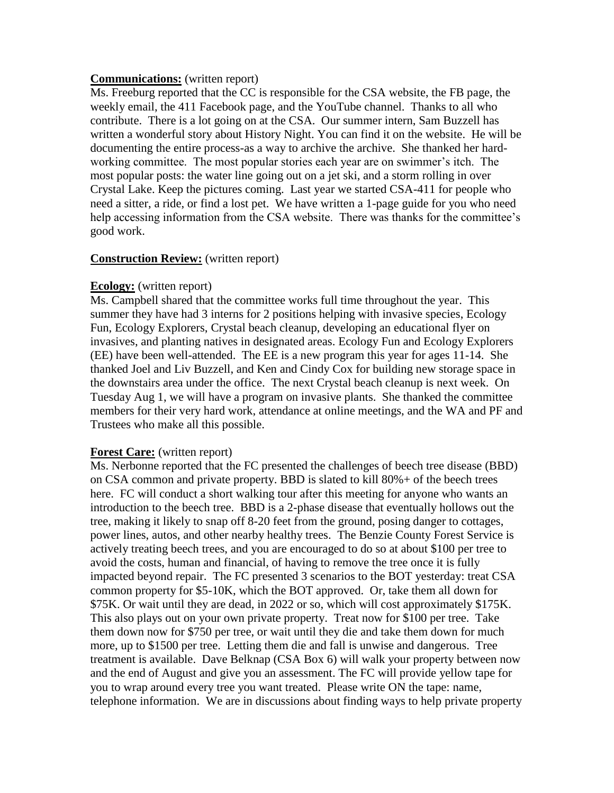#### **Communications:** (written report)

Ms. Freeburg reported that the CC is responsible for the CSA website, the FB page, the weekly email, the 411 Facebook page, and the YouTube channel. Thanks to all who contribute. There is a lot going on at the CSA. Our summer intern, Sam Buzzell has written a wonderful story about History Night. You can find it on the website. He will be documenting the entire process-as a way to archive the archive. She thanked her hardworking committee. The most popular stories each year are on swimmer's itch. The most popular posts: the water line going out on a jet ski, and a storm rolling in over Crystal Lake. Keep the pictures coming. Last year we started CSA-411 for people who need a sitter, a ride, or find a lost pet. We have written a 1-page guide for you who need help accessing information from the CSA website. There was thanks for the committee's good work.

#### **Construction Review:** (written report)

#### **Ecology:** (written report)

Ms. Campbell shared that the committee works full time throughout the year. This summer they have had 3 interns for 2 positions helping with invasive species, Ecology Fun, Ecology Explorers, Crystal beach cleanup, developing an educational flyer on invasives, and planting natives in designated areas. Ecology Fun and Ecology Explorers (EE) have been well-attended. The EE is a new program this year for ages 11-14. She thanked Joel and Liv Buzzell, and Ken and Cindy Cox for building new storage space in the downstairs area under the office. The next Crystal beach cleanup is next week. On Tuesday Aug 1, we will have a program on invasive plants. She thanked the committee members for their very hard work, attendance at online meetings, and the WA and PF and Trustees who make all this possible.

#### **Forest Care:** (written report)

Ms. Nerbonne reported that the FC presented the challenges of beech tree disease (BBD) on CSA common and private property. BBD is slated to kill 80%+ of the beech trees here. FC will conduct a short walking tour after this meeting for anyone who wants an introduction to the beech tree. BBD is a 2-phase disease that eventually hollows out the tree, making it likely to snap off 8-20 feet from the ground, posing danger to cottages, power lines, autos, and other nearby healthy trees. The Benzie County Forest Service is actively treating beech trees, and you are encouraged to do so at about \$100 per tree to avoid the costs, human and financial, of having to remove the tree once it is fully impacted beyond repair. The FC presented 3 scenarios to the BOT yesterday: treat CSA common property for \$5-10K, which the BOT approved. Or, take them all down for \$75K. Or wait until they are dead, in 2022 or so, which will cost approximately \$175K. This also plays out on your own private property. Treat now for \$100 per tree. Take them down now for \$750 per tree, or wait until they die and take them down for much more, up to \$1500 per tree. Letting them die and fall is unwise and dangerous. Tree treatment is available. Dave Belknap (CSA Box 6) will walk your property between now and the end of August and give you an assessment. The FC will provide yellow tape for you to wrap around every tree you want treated. Please write ON the tape: name, telephone information. We are in discussions about finding ways to help private property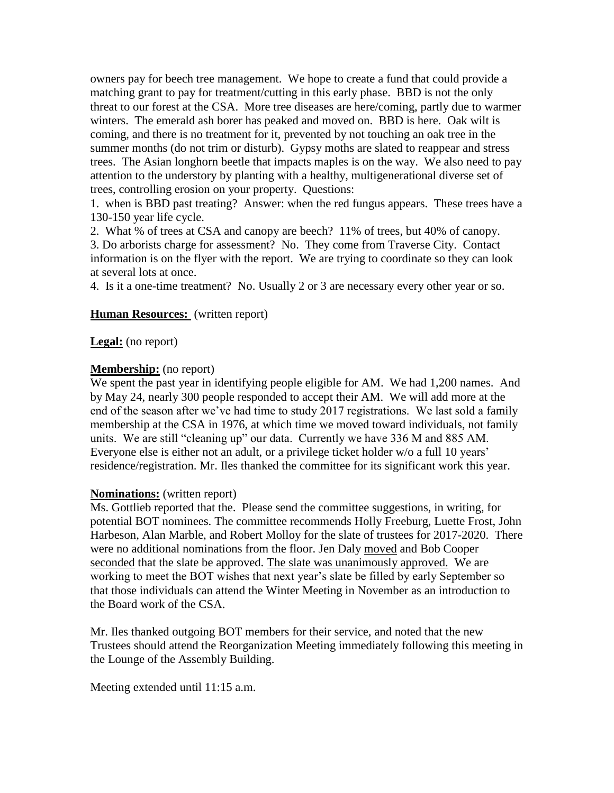owners pay for beech tree management. We hope to create a fund that could provide a matching grant to pay for treatment/cutting in this early phase. BBD is not the only threat to our forest at the CSA. More tree diseases are here/coming, partly due to warmer winters. The emerald ash borer has peaked and moved on. BBD is here. Oak wilt is coming, and there is no treatment for it, prevented by not touching an oak tree in the summer months (do not trim or disturb). Gypsy moths are slated to reappear and stress trees. The Asian longhorn beetle that impacts maples is on the way. We also need to pay attention to the understory by planting with a healthy, multigenerational diverse set of trees, controlling erosion on your property. Questions:

1. when is BBD past treating? Answer: when the red fungus appears. These trees have a 130-150 year life cycle.

2. What % of trees at CSA and canopy are beech? 11% of trees, but 40% of canopy. 3. Do arborists charge for assessment? No. They come from Traverse City. Contact information is on the flyer with the report. We are trying to coordinate so they can look at several lots at once.

4. Is it a one-time treatment? No. Usually 2 or 3 are necessary every other year or so.

#### **Human Resources:** (written report)

# **Legal:** (no report)

#### **Membership:** (no report)

We spent the past year in identifying people eligible for AM. We had 1,200 names. And by May 24, nearly 300 people responded to accept their AM. We will add more at the end of the season after we've had time to study 2017 registrations. We last sold a family membership at the CSA in 1976, at which time we moved toward individuals, not family units. We are still "cleaning up" our data. Currently we have 336 M and 885 AM. Everyone else is either not an adult, or a privilege ticket holder w/o a full 10 years' residence/registration. Mr. Iles thanked the committee for its significant work this year.

#### **Nominations:** (written report)

Ms. Gottlieb reported that the. Please send the committee suggestions, in writing, for potential BOT nominees. The committee recommends Holly Freeburg, Luette Frost, John Harbeson, Alan Marble, and Robert Molloy for the slate of trustees for 2017-2020. There were no additional nominations from the floor. Jen Daly moved and Bob Cooper seconded that the slate be approved. The slate was unanimously approved. We are working to meet the BOT wishes that next year's slate be filled by early September so that those individuals can attend the Winter Meeting in November as an introduction to the Board work of the CSA.

Mr. Iles thanked outgoing BOT members for their service, and noted that the new Trustees should attend the Reorganization Meeting immediately following this meeting in the Lounge of the Assembly Building.

Meeting extended until 11:15 a.m.